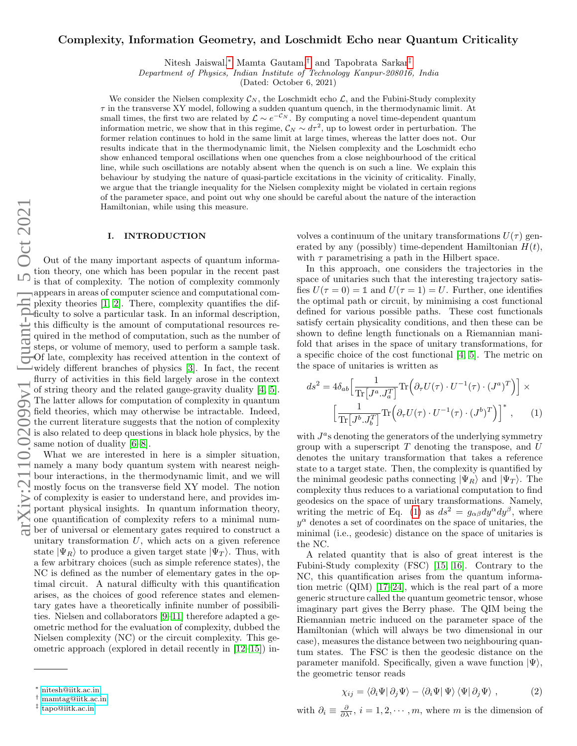# Complexity, Information Geometry, and Loschmidt Echo near Quantum Criticality

Nitesh Jaiswal,[∗](#page-0-0) Mamta Gautam,[†](#page-0-1) and Tapobrata Sarkar[‡](#page-0-2)

Department of Physics, Indian Institute of Technology Kanpur-208016, India

(Dated: October 6, 2021)

We consider the Nielsen complexity  $\mathcal{C}_N$ , the Loschmidt echo  $\mathcal{L}$ , and the Fubini-Study complexity  $\tau$  in the transverse XY model, following a sudden quantum quench, in the thermodynamic limit. At small times, the first two are related by  $\mathcal{L} \sim e^{-\mathcal{C}_N}$ . By computing a novel time-dependent quantum information metric, we show that in this regime,  $\mathcal{C}_N \sim d\tau^2$ , up to lowest order in perturbation. The former relation continues to hold in the same limit at large times, whereas the latter does not. Our results indicate that in the thermodynamic limit, the Nielsen complexity and the Loschmidt echo show enhanced temporal oscillations when one quenches from a close neighbourhood of the critical line, while such oscillations are notably absent when the quench is on such a line. We explain this behaviour by studying the nature of quasi-particle excitations in the vicinity of criticality. Finally, we argue that the triangle inequality for the Nielsen complexity might be violated in certain regions of the parameter space, and point out why one should be careful about the nature of the interaction Hamiltonian, while using this measure.

#### I. INTRODUCTION

Out of the many important aspects of quantum information theory, one which has been popular in the recent past is that of complexity. The notion of complexity commonly appears in areas of computer science and computational complexity theories [\[1,](#page-9-0) [2\]](#page-9-1). There, complexity quantifies the difficulty to solve a particular task. In an informal description, this difficulty is the amount of computational resources required in the method of computation, such as the number of steps, or volume of memory, used to perform a sample task. Of late, complexity has received attention in the context of widely different branches of physics [\[3\]](#page-9-2). In fact, the recent flurry of activities in this field largely arose in the context of string theory and the related gauge-gravity duality [\[4,](#page-9-3) [5\]](#page-9-4). The latter allows for computation of complexity in quantum field theories, which may otherwise be intractable. Indeed, the current literature suggests that the notion of complexity is also related to deep questions in black hole physics, by the same notion of duality [\[6–](#page-9-5)[8\]](#page-9-6).

What we are interested in here is a simpler situation, namely a many body quantum system with nearest neighbour interactions, in the thermodynamic limit, and we will mostly focus on the transverse field XY model. The notion of complexity is easier to understand here, and provides important physical insights. In quantum information theory, one quantification of complexity refers to a minimal number of universal or elementary gates required to construct a unitary transformation  $U$ , which acts on a given reference state  $|\Psi_R\rangle$  to produce a given target state  $|\Psi_T\rangle$ . Thus, with a few arbitrary choices (such as simple reference states), the NC is defined as the number of elementary gates in the optimal circuit. A natural difficulty with this quantification arises, as the choices of good reference states and elementary gates have a theoretically infinite number of possibilities. Nielsen and collaborators [\[9](#page-9-7)[–11\]](#page-9-8) therefore adapted a geometric method for the evaluation of complexity, dubbed the Nielsen complexity (NC) or the circuit complexity. This geometric approach (explored in detail recently in [\[12](#page-9-9)[–15\]](#page-9-10)) involves a continuum of the unitary transformations  $U(\tau)$  generated by any (possibly) time-dependent Hamiltonian  $H(t)$ , with  $\tau$  parametrising a path in the Hilbert space.

In this approach, one considers the trajectories in the space of unitaries such that the interesting trajectory satisfies  $U(\tau = 0) = \mathbb{1}$  and  $U(\tau = 1) = U$ . Further, one identifies the optimal path or circuit, by minimising a cost functional defined for various possible paths. These cost functionals satisfy certain physicality conditions, and then these can be shown to define length functionals on a Riemannian manifold that arises in the space of unitary transformations, for a specific choice of the cost functional [\[4,](#page-9-3) [5\]](#page-9-4). The metric on the space of unitaries is written as

<span id="page-0-3"></span>
$$
ds^{2} = 4\delta_{ab} \left[ \frac{1}{\text{Tr}\left[J^{a} \cdot J^{T}_{a}\right]} \text{Tr}\left(\partial_{\tau} U(\tau) \cdot U^{-1}(\tau) \cdot (J^{a})^{T}\right) \right] \times \left[ \frac{1}{\text{Tr}\left[J^{b} \cdot J^{T}_{b}\right]} \text{Tr}\left(\partial_{\tau} U(\tau) \cdot U^{-1}(\tau) \cdot (J^{b})^{T}\right) \right]^{*}, \quad (1)
$$

with  $J^a$ s denoting the generators of the underlying symmetry group with a superscript  $T$  denoting the transpose, and  $U$ denotes the unitary transformation that takes a reference state to a target state. Then, the complexity is quantified by the minimal geodesic paths connecting  $|\Psi_R\rangle$  and  $|\Psi_T\rangle$ . The complexity thus reduces to a variational computation to find geodesics on the space of unitary transformations. Namely, writing the metric of Eq. [\(1\)](#page-0-3) as  $ds^2 = g_{\alpha\beta} dy^{\alpha} dy^{\beta}$ , where  $y^{\alpha}$  denotes a set of coordinates on the space of unitaries, the minimal (i.e., geodesic) distance on the space of unitaries is the NC.

A related quantity that is also of great interest is the Fubini-Study complexity (FSC) [\[15,](#page-9-10) [16\]](#page-9-11). Contrary to the NC, this quantification arises from the quantum information metric (QIM) [\[17–](#page-9-12)[24\]](#page-9-13), which is the real part of a more generic structure called the quantum geometric tensor, whose imaginary part gives the Berry phase. The QIM being the Riemannian metric induced on the parameter space of the Hamiltonian (which will always be two dimensional in our case), measures the distance between two neighbouring quantum states. The FSC is then the geodesic distance on the parameter manifold. Specifically, given a wave function  $|\Psi\rangle$ , the geometric tensor reads

<span id="page-0-4"></span>
$$
\chi_{ij} = \langle \partial_i \Psi | \partial_j \Psi \rangle - \langle \partial_i \Psi | \Psi \rangle \langle \Psi | \partial_j \Psi \rangle , \qquad (2)
$$

with  $\partial_i \equiv \frac{\partial}{\partial \lambda^i}$ ,  $i = 1, 2, \dots, m$ , where m is the dimension of

<span id="page-0-0"></span><sup>∗</sup> [nitesh@iitk.ac.in](mailto:nitesh@iitk.ac.in)

<span id="page-0-1"></span><sup>†</sup> [mamtag@iitk.ac.in](mailto:mamtag@iitk.ac.in)

<span id="page-0-2"></span><sup>‡</sup> [tapo@iitk.ac.in](mailto:tapo@iitk.ac.in)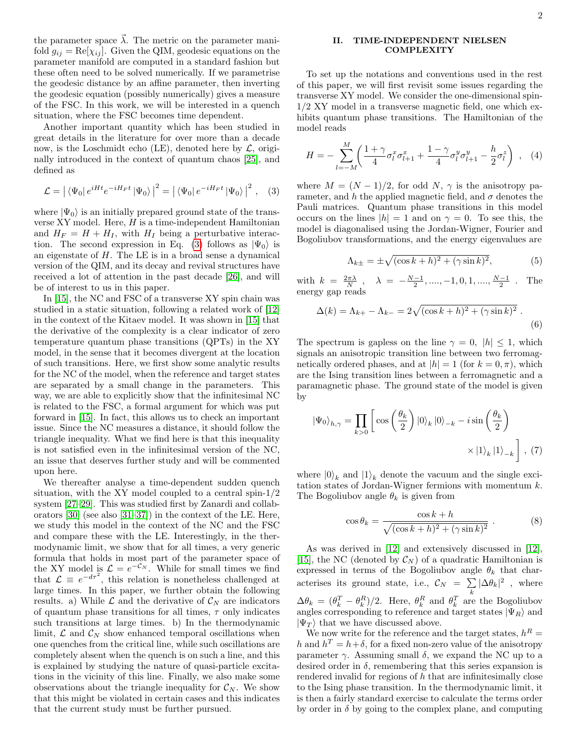the parameter space  $\vec{\lambda}$ . The metric on the parameter manifold  $g_{ij} = \text{Re}[\chi_{ij}]$ . Given the QIM, geodesic equations on the parameter manifold are computed in a standard fashion but these often need to be solved numerically. If we parametrise the geodesic distance by an affine parameter, then inverting the geodesic equation (possibly numerically) gives a measure of the FSC. In this work, we will be interested in a quench situation, where the FSC becomes time dependent.

Another important quantity which has been studied in great details in the literature for over more than a decade now, is the Loschmidt echo (LE), denoted here by  $\mathcal{L}$ , originally introduced in the context of quantum chaos [\[25\]](#page-9-14), and defined as

<span id="page-1-0"></span>
$$
\mathcal{L} = |\langle \Psi_0 | e^{iHt} e^{-iH_Ft} | \Psi_0 \rangle|^2 = |\langle \Psi_0 | e^{-iH_Ft} | \Psi_0 \rangle|^2 , \quad (3)
$$

where  $|\Psi_0\rangle$  is an initially prepared ground state of the transverse  $XY$  model. Here,  $H$  is a time-independent Hamiltonian and  $H_F = H + H_I$ , with  $H_I$  being a perturbative interac-tion. The second expression in Eq. [\(3\)](#page-1-0) follows as  $|\Psi_0\rangle$  is an eigenstate of H. The LE is in a broad sense a dynamical version of the QIM, and its decay and revival structures have received a lot of attention in the past decade [\[26\]](#page-9-15), and will be of interest to us in this paper.

In [\[15\]](#page-9-10), the NC and FSC of a transverse XY spin chain was studied in a static situation, following a related work of [\[12\]](#page-9-9) in the context of the Kitaev model. It was shown in [\[15\]](#page-9-10) that the derivative of the complexity is a clear indicator of zero temperature quantum phase transitions (QPTs) in the XY model, in the sense that it becomes divergent at the location of such transitions. Here, we first show some analytic results for the NC of the model, when the reference and target states are separated by a small change in the parameters. This way, we are able to explicitly show that the infinitesimal NC is related to the FSC, a formal argument for which was put forward in [\[15\]](#page-9-10). In fact, this allows us to check an important issue. Since the NC measures a distance, it should follow the triangle inequality. What we find here is that this inequality is not satisfied even in the infinitesimal version of the NC, an issue that deserves further study and will be commented upon here.

We thereafter analyse a time-dependent sudden quench situation, with the XY model coupled to a central spin-1/2 system [\[27–](#page-9-16)[29\]](#page-9-17). This was studied first by Zanardi and collaborators [\[30\]](#page-9-18) (see also [\[31–](#page-9-19)[37\]](#page-10-0)) in the context of the LE. Here, we study this model in the context of the NC and the FSC and compare these with the LE. Interestingly, in the thermodynamic limit, we show that for all times, a very generic formula that holds in most part of the parameter space of the XY model is  $\mathcal{L} = e^{-\mathcal{C}_N}$ . While for small times we find that  $\mathcal{L} \equiv e^{-d\tau^2}$ , this relation is nonetheless challenged at large times. In this paper, we further obtain the following results. a) While  $\mathcal L$  and the derivative of  $\mathcal C_N$  are indicators of quantum phase transitions for all times,  $\tau$  only indicates such transitions at large times. b) In the thermodynamic limit,  $\mathcal{L}$  and  $\mathcal{C}_N$  show enhanced temporal oscillations when one quenches from the critical line, while such oscillations are completely absent when the quench is on such a line, and this is explained by studying the nature of quasi-particle excitations in the vicinity of this line. Finally, we also make some observations about the triangle inequality for  $\mathcal{C}_N$ . We show that this might be violated in certain cases and this indicates that the current study must be further pursued.

## <span id="page-1-3"></span>II. TIME-INDEPENDENT NIELSEN COMPLEXITY

To set up the notations and conventions used in the rest of this paper, we will first revisit some issues regarding the transverse XY model. We consider the one-dimensional spin-1/2 XY model in a transverse magnetic field, one which exhibits quantum phase transitions. The Hamiltonian of the model reads

<span id="page-1-1"></span>
$$
H = -\sum_{l=-M}^{M} \left( \frac{1+\gamma}{4} \sigma_l^x \sigma_{l+1}^x + \frac{1-\gamma}{4} \sigma_l^y \sigma_{l+1}^y - \frac{h}{2} \sigma_l^z \right) , \quad (4)
$$

where  $M = (N-1)/2$ , for odd N,  $\gamma$  is the anisotropy parameter, and h the applied magnetic field, and  $\sigma$  denotes the Pauli matrices. Quantum phase transitions in this model occurs on the lines  $|h| = 1$  and on  $\gamma = 0$ . To see this, the model is diagonalised using the Jordan-Wigner, Fourier and Bogoliubov transformations, and the energy eigenvalues are

$$
\Lambda_{k\pm} = \pm \sqrt{(\cos k + h)^2 + (\gamma \sin k)^2},\tag{5}
$$

with  $k = \frac{2\pi\lambda}{N}$ ,  $\lambda = -\frac{N-1}{2}, \dots, -1, 0, 1, \dots, \frac{N-1}{2}$ . The energy gap reads

$$
\Delta(k) = \Lambda_{k+} - \Lambda_{k-} = 2\sqrt{(\cos k + h)^2 + (\gamma \sin k)^2} .
$$
\n(6)

The spectrum is gapless on the line  $\gamma = 0$ ,  $|h| \leq 1$ , which signals an anisotropic transition line between two ferromagnetically ordered phases, and at  $|h| = 1$  (for  $k = 0, \pi$ ), which are the Ising transition lines between a ferromagnetic and a paramagnetic phase. The ground state of the model is given by

$$
|\Psi_0\rangle_{h,\gamma} = \prod_{k>0} \left[ \cos\left(\frac{\theta_k}{2}\right) |0\rangle_k |0\rangle_{-k} - i \sin\left(\frac{\theta_k}{2}\right) \right] \times |1\rangle_k |1\rangle_{-k} \right], (7)
$$

where  $|0\rangle_k$  and  $|1\rangle_k$  denote the vacuum and the single excitation states of Jordan-Wigner fermions with momentum k. The Bogoliubov angle  $\theta_k$  is given from

<span id="page-1-2"></span>
$$
\cos \theta_k = \frac{\cos k + h}{\sqrt{(\cos k + h)^2 + (\gamma \sin k)^2}} \ . \tag{8}
$$

As was derived in [\[12\]](#page-9-9) and extensively discussed in [\[12\]](#page-9-9), [\[15\]](#page-9-10), the NC (denoted by  $\mathcal{C}_N$ ) of a quadratic Hamiltonian is expressed in terms of the Bogoliubov angle  $\theta_k$  that characterises its ground state, i.e.,  $\mathcal{C}_N = \sum |\Delta \theta_k|^2$ , where k  $\Delta\theta_k = (\theta_k^T - \theta_k^R)/2$ . Here,  $\theta_k^R$  and  $\theta_k^T$  are the Bogoliubov angles corresponding to reference and target states  $|\Psi_R\rangle$  and  $|\Psi_T\rangle$  that we have discussed above.

We now write for the reference and the target states,  $h^R =$ h and  $h^T = h + \delta$ , for a fixed non-zero value of the anisotropy parameter  $\gamma$ . Assuming small  $\delta$ , we expand the NC up to a desired order in  $\delta$ , remembering that this series expansion is rendered invalid for regions of h that are infinitesimally close to the Ising phase transition. In the thermodynamic limit, it is then a fairly standard exercise to calculate the terms order by order in  $\delta$  by going to the complex plane, and computing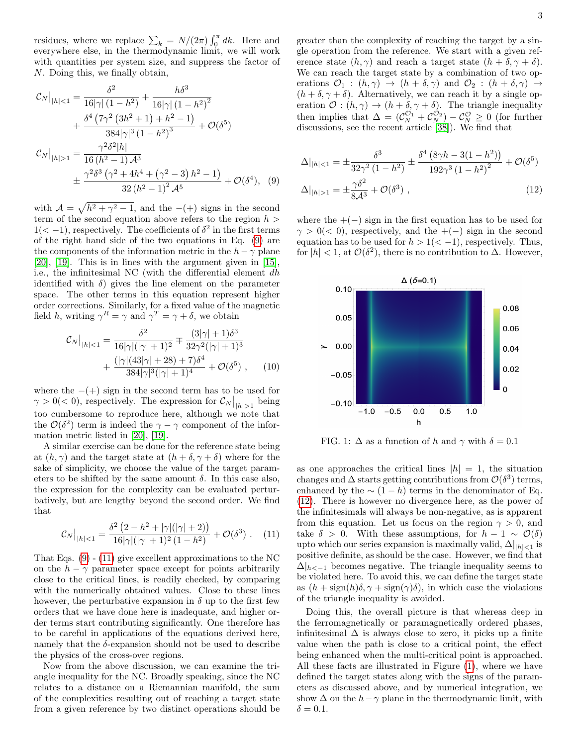residues, where we replace  $\sum_{k} = N/(2\pi) \int_{0}^{\pi} dk$ . Here and everywhere else, in the thermodynamic limit, we will work with quantities per system size, and suppress the factor of N. Doing this, we finally obtain,

<span id="page-2-0"></span>
$$
\mathcal{C}_{N}|_{|h|<1} = \frac{\delta^{2}}{16|\gamma|(1-h^{2})} + \frac{h\delta^{3}}{16|\gamma|(1-h^{2})^{2}} \n+ \frac{\delta^{4}(7\gamma^{2}(3h^{2}+1)+h^{2}-1)}{384|\gamma|^{3}(1-h^{2})^{3}} + \mathcal{O}(\delta^{5}) \n\mathcal{C}_{N}|_{|h|>1} = \frac{\gamma^{2}\delta^{2}|h|}{16(h^{2}-1)\mathcal{A}^{3}} \n+ \frac{\gamma^{2}\delta^{3}(\gamma^{2}+4h^{4}+(\gamma^{2}-3)h^{2}-1)}{32(h^{2}-1)^{2}\mathcal{A}^{5}} + \mathcal{O}(\delta^{4}), \quad (9)
$$

with  $\mathcal{A} = \sqrt{h^2 + \gamma^2 - 1}$ , and the  $-(+)$  signs in the second term of the second equation above refers to the region  $h >$  $1(< -1)$ , respectively. The coefficients of  $\delta^2$  in the first terms of the right hand side of the two equations in Eq. [\(9\)](#page-2-0) are the components of the information metric in the  $h - \gamma$  plane [\[20\]](#page-9-20), [\[19\]](#page-9-21). This is in lines with the argument given in [\[15\]](#page-9-10), i.e., the infinitesimal NC (with the differential element dh identified with  $\delta$ ) gives the line element on the parameter space. The other terms in this equation represent higher order corrections. Similarly, for a fixed value of the magnetic field h, writing  $\gamma^R = \gamma$  and  $\gamma^T = \gamma + \delta$ , we obtain

$$
\mathcal{C}_N\big|_{|h|<1} = \frac{\delta^2}{16|\gamma|(|\gamma|+1)^2} \mp \frac{(3|\gamma|+1)\delta^3}{32\gamma^2(|\gamma|+1)^3} \n+ \frac{(|\gamma|(43|\gamma|+28)+7)\delta^4}{384|\gamma|^3(|\gamma|+1)^4} + \mathcal{O}(\delta^5) , \quad (10)
$$

where the  $-(+)$  sign in the second term has to be used for  $\gamma > 0 \, (< 0$ ), respectively. The expression for  $\mathcal{C}_N \big|_{|h| > 1}$  being too cumbersome to reproduce here, although we note that the  $\mathcal{O}(\delta^2)$  term is indeed the  $\gamma - \gamma$  component of the information metric listed in [\[20\]](#page-9-20), [\[19\]](#page-9-21).

A similar exercise can be done for the reference state being at  $(h, \gamma)$  and the target state at  $(h + \delta, \gamma + \delta)$  where for the sake of simplicity, we choose the value of the target parameters to be shifted by the same amount  $\delta$ . In this case also, the expression for the complexity can be evaluated perturbatively, but are lengthy beyond the second order. We find that

<span id="page-2-1"></span>
$$
\mathcal{C}_N\big|_{|h|<1} = \frac{\delta^2 \left(2 - h^2 + |\gamma|(|\gamma| + 2)\right)}{16|\gamma|(|\gamma| + 1)^2 \left(1 - h^2\right)} + \mathcal{O}(\delta^3) \ . \tag{11}
$$

That Eqs. [\(9\)](#page-2-0) - [\(11\)](#page-2-1) give excellent approximations to the NC on the  $h - \gamma$  parameter space except for points arbitrarily close to the critical lines, is readily checked, by comparing with the numerically obtained values. Close to these lines however, the perturbative expansion in  $\delta$  up to the first few orders that we have done here is inadequate, and higher order terms start contributing significantly. One therefore has to be careful in applications of the equations derived here, namely that the  $\delta$ -expansion should not be used to describe the physics of the cross-over regions.

Now from the above discussion, we can examine the triangle inequality for the NC. Broadly speaking, since the NC relates to a distance on a Riemannian manifold, the sum of the complexities resulting out of reaching a target state from a given reference by two distinct operations should be greater than the complexity of reaching the target by a single operation from the reference. We start with a given reference state  $(h, \gamma)$  and reach a target state  $(h + \delta, \gamma + \delta)$ . We can reach the target state by a combination of two operations  $\mathcal{O}_1$  :  $(h, \gamma) \rightarrow (h + \delta, \gamma)$  and  $\mathcal{O}_2$  :  $(h + \delta, \gamma) \rightarrow$  $(h + \delta, \gamma + \delta)$ . Alternatively, we can reach it by a single operation  $\mathcal{O}: (h, \gamma) \to (h + \delta, \gamma + \delta)$ . The triangle inequality then implies that  $\Delta = (\mathcal{C}_N^{\mathcal{O}_1} + \mathcal{C}_N^{\mathcal{O}_2}) - \mathcal{C}_N^{\mathcal{O}} \geq 0$  (for further discussions, see the recent article [\[38\]](#page-10-1)). We find that

<span id="page-2-2"></span>
$$
\Delta|_{|h|<1} = \pm \frac{\delta^3}{32\gamma^2 (1-h^2)} \pm \frac{\delta^4 (8\gamma h - 3(1-h^2))}{192\gamma^3 (1-h^2)^2} + \mathcal{O}(\delta^5)
$$

$$
\Delta|_{|h|>1} = \pm \frac{\gamma \delta^2}{8\mathcal{A}^3} + \mathcal{O}(\delta^3) , \qquad (12)
$$

where the  $+(-)$  sign in the first equation has to be used for  $\gamma > 0$ (< 0), respectively, and the +(−) sign in the second equation has to be used for  $h > 1 \, \langle \, -1 \rangle$ , respectively. Thus, for  $|h| < 1$ , at  $\mathcal{O}(\delta^2)$ , there is no contribution to  $\Delta$ . However,

<span id="page-2-3"></span>

FIG. 1:  $\Delta$  as a function of h and  $\gamma$  with  $\delta = 0.1$ 

as one approaches the critical lines  $|h| = 1$ , the situation changes and  $\Delta$  starts getting contributions from  $\mathcal{O}(\delta^3)$  terms, enhanced by the  $\sim (1-h)$  terms in the denominator of Eq. [\(12\)](#page-2-2). There is however no divergence here, as the power of the infinitesimals will always be non-negative, as is apparent from this equation. Let us focus on the region  $\gamma > 0$ , and take  $\delta > 0$ . With these assumptions, for  $h - 1 \sim \mathcal{O}(\delta)$ upto which our series expansion is maximally valid,  $\Delta|_{|h|<1}$  is positive definite, as should be the case. However, we find that  $\Delta|_{h<-1}$  becomes negative. The triangle inequality seems to be violated here. To avoid this, we can define the target state as  $(h + \text{sign}(h)\delta, \gamma + \text{sign}(\gamma)\delta)$ , in which case the violations of the triangle inequality is avoided.

Doing this, the overall picture is that whereas deep in the ferromagnetically or paramagnetically ordered phases, infinitesimal  $\Delta$  is always close to zero, it picks up a finite value when the path is close to a critical point, the effect being enhanced when the multi-critical point is approached. All these facts are illustrated in Figure [\(1\)](#page-2-3), where we have defined the target states along with the signs of the parameters as discussed above, and by numerical integration, we show  $\Delta$  on the  $h-\gamma$  plane in the thermodynamic limit, with  $\delta = 0.1$ .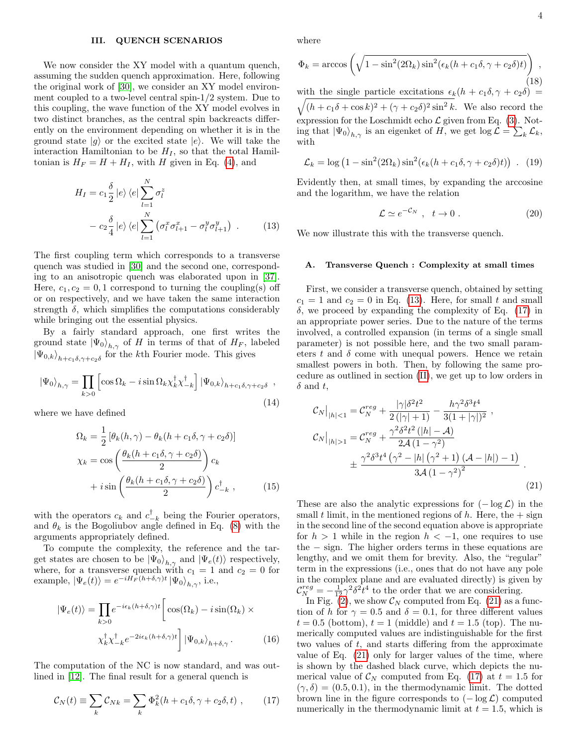### III. QUENCH SCENARIOS

We now consider the XY model with a quantum quench, assuming the sudden quench approximation. Here, following the original work of [\[30\]](#page-9-18), we consider an XY model environment coupled to a two-level central spin-1/2 system. Due to this coupling, the wave function of the XY model evolves in two distinct branches, as the central spin backreacts differently on the environment depending on whether it is in the ground state  $|g\rangle$  or the excited state  $|e\rangle$ . We will take the interaction Hamiltonian to be  $H_I$ , so that the total Hamiltonian is  $H_F = H + H_I$ , with H given in Eq. [\(4\)](#page-1-1), and

<span id="page-3-0"></span>
$$
H_I = c_1 \frac{\delta}{2} |e\rangle \langle e| \sum_{l=1}^N \sigma_l^z
$$
  
-  $c_2 \frac{\delta}{4} |e\rangle \langle e| \sum_{l=1}^N (\sigma_l^x \sigma_{l+1}^x - \sigma_l^y \sigma_{l+1}^y)$ . (13)

The first coupling term which corresponds to a transverse quench was studied in [\[30\]](#page-9-18) and the second one, corresponding to an anisotropic quench was elaborated upon in [\[37\]](#page-10-0). Here,  $c_1, c_2 = 0, 1$  correspond to turning the coupling(s) off or on respectively, and we have taken the same interaction strength  $\delta$ , which simplifies the computations considerably while bringing out the essential physics.

By a fairly standard approach, one first writes the ground state  $|\Psi_0\rangle_{h,\gamma}$  of H in terms of that of  $H_F$ , labeled  $|\Psi_{0,k}\rangle_{h+c_1\delta,\gamma+c_2\delta}$  for the kth Fourier mode. This gives

$$
|\Psi_0\rangle_{h,\gamma} = \prod_{k>0} \left[ \cos \Omega_k - i \sin \Omega_k \chi_k^{\dagger} \chi_{-k}^{\dagger} \right] |\Psi_{0,k}\rangle_{h+c_1\delta,\gamma+c_2\delta} ,
$$
\n(14)

where we have defined

$$
\Omega_k = \frac{1}{2} \left[ \theta_k(h, \gamma) - \theta_k(h + c_1 \delta, \gamma + c_2 \delta) \right]
$$
  
\n
$$
\chi_k = \cos \left( \frac{\theta_k(h + c_1 \delta, \gamma + c_2 \delta)}{2} \right) c_k
$$
  
\n
$$
+ i \sin \left( \frac{\theta_k(h + c_1 \delta, \gamma + c_2 \delta)}{2} \right) c_{-k}^{\dagger}, \qquad (15)
$$

with the operators  $c_k$  and  $c_{-k}^{\dagger}$  being the Fourier operators, and  $\theta_k$  is the Bogoliubov angle defined in Eq. [\(8\)](#page-1-2) with the arguments appropriately defined.

To compute the complexity, the reference and the target states are chosen to be  $|\Psi_0\rangle_{h,\gamma}$  and  $|\Psi_e(t)\rangle$  respectively, where, for a transverse quench with  $c_1 = 1$  and  $c_2 = 0$  for example,  $|\Psi_e(t)\rangle = e^{-iH_F(h+\delta,\gamma)t} |\Psi_0\rangle_{h,\gamma}$ , i.e.,

<span id="page-3-4"></span>
$$
|\Psi_e(t)\rangle = \prod_{k>0} e^{-i\epsilon_k (h+\delta,\gamma)t} \left[ \cos(\Omega_k) - i \sin(\Omega_k) \times \chi_k^{\dagger} \chi_{-k}^{\dagger} e^{-2i\epsilon_k (h+\delta,\gamma)t} \right] |\Psi_{0,k}\rangle_{h+\delta,\gamma}.
$$
 (16)

The computation of the NC is now standard, and was outlined in [\[12\]](#page-9-9). The final result for a general quench is

<span id="page-3-1"></span>
$$
\mathcal{C}_N(t) \equiv \sum_k \mathcal{C}_{Nk} = \sum_k \Phi_k^2(h + c_1 \delta, \gamma + c_2 \delta, t) , \qquad (17)
$$

where

<span id="page-3-6"></span>
$$
\Phi_k = \arccos\left(\sqrt{1 - \sin^2(2\Omega_k)\sin^2(\epsilon_k(h + c_1\delta, \gamma + c_2\delta)t)}\right),
$$
\n(18)

\nwith the single particle excitations  $\epsilon_k(h + c_1\delta, \gamma + c_2\delta) = \sqrt{(h + c_1\delta + \cos k)^2 + (\gamma + c_2\delta)^2\sin^2 k}$ . We also record the expression for the Loschmidt echo  $\mathcal L$  given from Eq. (3). Noting that  $|\Psi_0\rangle_{h,\gamma}$  is an eigenket of  $H$ , we get  $\log \mathcal L = \sum_k \mathcal L_k$ , with

<span id="page-3-5"></span>
$$
\mathcal{L}_k = \log \left( 1 - \sin^2(2\Omega_k) \sin^2(\epsilon_k (h + c_1 \delta, \gamma + c_2 \delta)t) \right) . \tag{19}
$$

Evidently then, at small times, by expanding the arccosine and the logarithm, we have the relation

<span id="page-3-3"></span>
$$
\mathcal{L} \simeq e^{-\mathcal{C}_N} \ , \ t \to 0 \ . \tag{20}
$$

We now illustrate this with the transverse quench.

#### A. Transverse Quench : Complexity at small times

First, we consider a transverse quench, obtained by setting  $c_1 = 1$  and  $c_2 = 0$  in Eq. [\(13\)](#page-3-0). Here, for small t and small  $\delta$ , we proceed by expanding the complexity of Eq. [\(17\)](#page-3-1) in an appropriate power series. Due to the nature of the terms involved, a controlled expansion (in terms of a single small parameter) is not possible here, and the two small parameters t and  $\delta$  come with unequal powers. Hence we retain smallest powers in both. Then, by following the same procedure as outlined in section [\(II\)](#page-1-3), we get up to low orders in  $\delta$  and t,

<span id="page-3-2"></span>
$$
\mathcal{C}_{N}|_{|h|<1} = \mathcal{C}_{N}^{reg} + \frac{|\gamma|\delta^{2}t^{2}}{2(|\gamma|+1)} - \frac{h\gamma^{2}\delta^{3}t^{4}}{3(1+|\gamma|)^{2}},
$$
\n
$$
\mathcal{C}_{N}|_{|h|>1} = \mathcal{C}_{N}^{reg} + \frac{\gamma^{2}\delta^{2}t^{2}(|h| - A)}{2\mathcal{A}(1-\gamma^{2})} + \frac{\gamma^{2}\delta^{3}t^{4}(\gamma^{2} - |h|(\gamma^{2}+1)(\mathcal{A} - |h|) - 1)}{3\mathcal{A}(1-\gamma^{2})^{2}}.
$$
\n(21)

These are also the analytic expressions for  $(-\log \mathcal{L})$  in the small t limit, in the mentioned regions of h. Here, the  $+$  sign in the second line of the second equation above is appropriate for  $h > 1$  while in the region  $h < -1$ , one requires to use the − sign. The higher orders terms in these equations are lengthy, and we omit them for brevity. Also, the "regular" term in the expressions (i.e., ones that do not have any pole in the complex plane and are evaluated directly) is given by  $\mathcal{C}_{N}^{reg} = -\frac{1}{12}\gamma^2 \delta^2 t^4$  to the order that we are considering.

In Fig. [\(2\)](#page-4-0), we show  $\mathcal{C}_N$  computed from Eq. [\(21\)](#page-3-2) as a function of h for  $\gamma = 0.5$  and  $\delta = 0.1$ , for three different values  $t = 0.5$  (bottom),  $t = 1$  (middle) and  $t = 1.5$  (top). The numerically computed values are indistinguishable for the first two values of t, and starts differing from the approximate value of Eq. [\(21\)](#page-3-2) only for larger values of the time, where is shown by the dashed black curve, which depicts the numerical value of  $\mathcal{C}_N$  computed from Eq. [\(17\)](#page-3-1) at  $t = 1.5$  for  $(\gamma, \delta) = (0.5, 0.1)$ , in the thermodynamic limit. The dotted brown line in the figure corresponds to  $(-\log \mathcal{L})$  computed numerically in the thermodynamic limit at  $t = 1.5$ , which is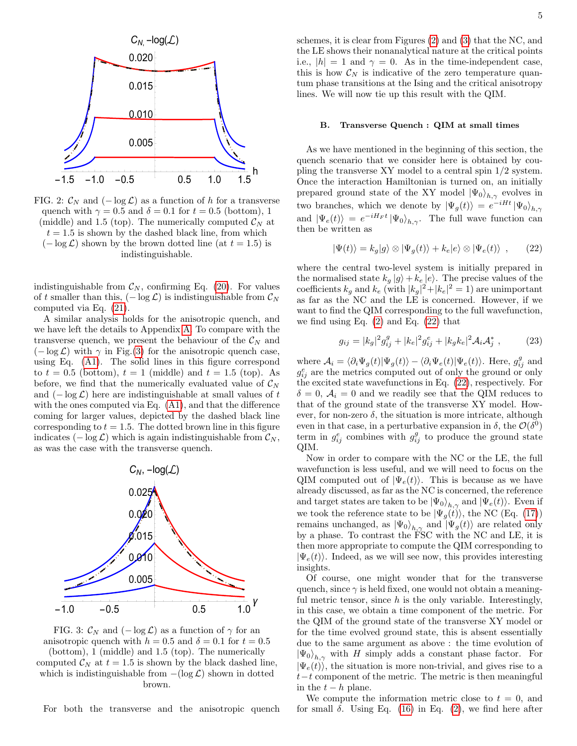<span id="page-4-0"></span>

FIG. 2:  $\mathcal{C}_N$  and  $(-\log \mathcal{L})$  as a function of h for a transverse quench with  $\gamma = 0.5$  and  $\delta = 0.1$  for  $t = 0.5$  (bottom), 1 (middle) and 1.5 (top). The numerically computed  $\mathcal{C}_N$  at  $t = 1.5$  is shown by the dashed black line, from which  $(-\log \mathcal{L})$  shown by the brown dotted line (at  $t = 1.5$ ) is indistinguishable.

indistinguishable from  $\mathcal{C}_N$ , confirming Eq. [\(20\)](#page-3-3). For values of t smaller than this,  $(-\log \mathcal{L})$  is indistinguishable from  $\mathcal{C}_N$ computed via Eq. [\(21\)](#page-3-2).

A similar analysis holds for the anisotropic quench, and we have left the details to Appendix [A.](#page-9-22) To compare with the transverse quench, we present the behaviour of the  $\mathcal{C}_N$  and  $(-\log \mathcal{L})$  with  $\gamma$  in Fig.[\(3\)](#page-4-1) for the anisotropic quench case, using Eq. [\(A1\)](#page-9-23). The solid lines in this figure correspond to  $t = 0.5$  (bottom),  $t = 1$  (middle) and  $t = 1.5$  (top). As before, we find that the numerically evaluated value of  $C_N$ and  $(-\log \mathcal{L})$  here are indistinguishable at small values of t with the ones computed via Eq. [\(A1\)](#page-9-23), and that the difference coming for larger values, depicted by the dashed black line corresponding to  $t = 1.5$ . The dotted brown line in this figure indicates ( $-\log \mathcal{L}$ ) which is again indistinguishable from  $\mathcal{C}_N$ , as was the case with the transverse quench.

<span id="page-4-1"></span>

FIG. 3:  $\mathcal{C}_N$  and  $(-\log \mathcal{L})$  as a function of  $\gamma$  for an anisotropic quench with  $h = 0.5$  and  $\delta = 0.1$  for  $t = 0.5$ (bottom), 1 (middle) and 1.5 (top). The numerically computed  $\mathcal{C}_N$  at  $t = 1.5$  is shown by the black dashed line, which is indistinguishable from  $-(\log \mathcal{L})$  shown in dotted brown.

For both the transverse and the anisotropic quench

schemes, it is clear from Figures [\(2\)](#page-4-0) and [\(3\)](#page-4-1) that the NC, and the LE shows their nonanalytical nature at the critical points i.e.,  $|h| = 1$  and  $\gamma = 0$ . As in the time-independent case, this is how  $\mathcal{C}_N$  is indicative of the zero temperature quantum phase transitions at the Ising and the critical anisotropy lines. We will now tie up this result with the QIM.

#### B. Transverse Quench : QIM at small times

As we have mentioned in the beginning of this section, the quench scenario that we consider here is obtained by coupling the transverse XY model to a central spin 1/2 system. Once the interaction Hamiltonian is turned on, an initially prepared ground state of the XY model  $|\Psi_0\rangle_{h,\gamma}$  evolves in two branches, which we denote by  $|\Psi_g(t)\rangle = e^{-iHt} |\Psi_0\rangle_{h,\gamma}$ and  $|\Psi_e(t)\rangle = e^{-iH_F t} |\Psi_0\rangle_{h,\gamma}$ . The full wave function can then be written as

<span id="page-4-2"></span>
$$
|\Psi(t)\rangle = k_g|g\rangle \otimes |\Psi_g(t)\rangle + k_e|e\rangle \otimes |\Psi_e(t)\rangle , \qquad (22)
$$

where the central two-level system is initially prepared in the normalised state  $k_g |g\rangle + k_e |e\rangle$ . The precise values of the coefficients  $k_g$  and  $k_e$  (with  $|k_g|^2 + |k_e|^2 = 1$ ) are unimportant as far as the NC and the LE is concerned. However, if we want to find the QIM corresponding to the full wavefunction, we find using Eq. [\(2\)](#page-0-4) and Eq. [\(22\)](#page-4-2) that

<span id="page-4-3"></span>
$$
g_{ij} = |k_g|^2 g_{ij}^g + |k_e|^2 g_{ij}^e + |k_g k_e|^2 \mathcal{A}_i \mathcal{A}_j^*,
$$
 (23)

where  $A_i = \langle \partial_i \Psi_g(t) | \Psi_g(t) \rangle - \langle \partial_i \Psi_e(t) | \Psi_e(t) \rangle$ . Here,  $g_{ij}^g$  and  $g_{ij}^e$  are the metrics computed out of only the ground or only the excited state wavefunctions in Eq. [\(22\)](#page-4-2), respectively. For  $\delta = 0, \mathcal{A}_i = 0$  and we readily see that the QIM reduces to that of the ground state of the transverse XY model. However, for non-zero  $\delta$ , the situation is more intricate, although even in that case, in a perturbative expansion in  $\delta$ , the  $\mathcal{O}(\delta^0)$ term in  $g_{ij}^e$  combines with  $g_{ij}^g$  to produce the ground state QIM.

Now in order to compare with the NC or the LE, the full wavefunction is less useful, and we will need to focus on the QIM computed out of  $|\Psi_e(t)\rangle$ . This is because as we have already discussed, as far as the NC is concerned, the reference and target states are taken to be  $|\Psi_0\rangle_{h,\gamma}$  and  $|\Psi_e(t)\rangle$ . Even if we took the reference state to be  $|\Psi_g(t)\rangle$ , the NC (Eq. [\(17\)](#page-3-1)) remains unchanged, as  $|\Psi_0\rangle_{h,\gamma}$  and  $|\Psi_g(t)\rangle$  are related only by a phase. To contrast the FSC with the NC and LE, it is then more appropriate to compute the QIM corresponding to  $|\Psi_e(t)\rangle$ . Indeed, as we will see now, this provides interesting insights.

Of course, one might wonder that for the transverse quench, since  $\gamma$  is held fixed, one would not obtain a meaningful metric tensor, since  $h$  is the only variable. Interestingly, in this case, we obtain a time component of the metric. For the QIM of the ground state of the transverse XY model or for the time evolved ground state, this is absent essentially due to the same argument as above : the time evolution of  $|\Psi_0\rangle_{h,\gamma}$  with H simply adds a constant phase factor. For  $|\Psi_e(t)\rangle$ , the situation is more non-trivial, and gives rise to a  $t-t$  component of the metric. The metric is then meaningful in the  $t - h$  plane.

We compute the information metric close to  $t = 0$ , and for small  $\delta$ . Using Eq. [\(16\)](#page-3-4) in Eq. [\(2\)](#page-0-4), we find here after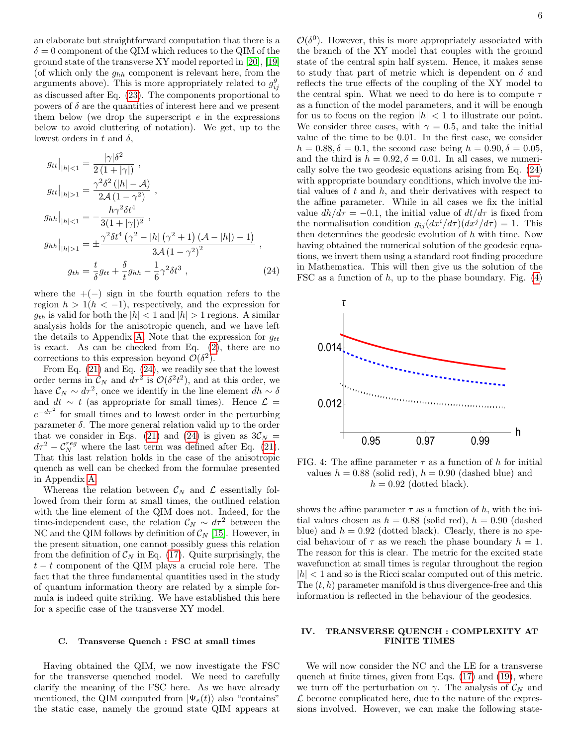an elaborate but straightforward computation that there is a  $\delta = 0$  component of the QIM which reduces to the QIM of the ground state of the transverse XY model reported in [\[20\]](#page-9-20), [\[19\]](#page-9-21) (of which only the  $g_{hh}$  component is relevant here, from the arguments above). This is more appropriately related to  $g_{ij}^g$ as discussed after Eq. [\(23\)](#page-4-3). The components proportional to powers of  $\delta$  are the quantities of interest here and we present them below (we drop the superscript  $e$  in the expressions below to avoid cluttering of notation). We get, up to the lowest orders in t and  $\delta$ ,

<span id="page-5-0"></span>
$$
g_{tt}|_{|h|<1} = \frac{|\gamma|\delta^2}{2(1+|\gamma|)},
$$
  
\n
$$
g_{tt}|_{|h|>1} = \frac{\gamma^2 \delta^2 (|h| - A)}{2A(1 - \gamma^2)},
$$
  
\n
$$
g_{hh}|_{|h|<1} = -\frac{h\gamma^2 \delta t^4}{3(1+|\gamma|)^2},
$$
  
\n
$$
g_{hh}|_{|h|>1} = \pm \frac{\gamma^2 \delta t^4 (\gamma^2 - |h| (\gamma^2 + 1) (A - |h|) - 1)}{3A(1 - \gamma^2)^2},
$$
  
\n
$$
g_{th} = \frac{t}{\delta} g_{tt} + \frac{\delta}{t} g_{hh} - \frac{1}{6} \gamma^2 \delta t^3,
$$
\n(24)

where the  $+(-)$  sign in the fourth equation refers to the region  $h > 1(h < -1)$ , respectively, and the expression for  $g_{th}$  is valid for both the  $|h| < 1$  and  $|h| > 1$  regions. A similar analysis holds for the anisotropic quench, and we have left the details to Appendix [A.](#page-9-22) Note that the expression for  $g_{tt}$ is exact. As can be checked from Eq. [\(2\)](#page-0-4), there are no corrections to this expression beyond  $\mathcal{O}(\delta^2)$ .

From Eq. [\(21\)](#page-3-2) and Eq. [\(24\)](#page-5-0), we readily see that the lowest order terms in  $\mathcal{C}_N$  and  $d\tau^2$  is  $\mathcal{O}(\delta^2 t^2)$ , and at this order, we have  $\mathcal{C}_N \sim d\tau^2$ , once we identify in the line element  $dh \sim \delta$ and  $dt \sim t$  (as appropriate for small times). Hence  $\mathcal{L} =$  $e^{-d\tau^2}$  for small times and to lowest order in the perturbing parameter  $\delta$ . The more general relation valid up to the order that we consider in Eqs. [\(21\)](#page-3-2) and [\(24\)](#page-5-0) is given as  $3\mathcal{C}_N =$  $d\tau^2 - C_N^{reg}$  where the last term was defined after Eq. [\(21\)](#page-3-2). That this last relation holds in the case of the anisotropic quench as well can be checked from the formulae presented in Appendix [A.](#page-9-22)

Whereas the relation between  $\mathcal{C}_N$  and  $\mathcal{L}$  essentially followed from their form at small times, the outlined relation with the line element of the QIM does not. Indeed, for the time-independent case, the relation  $C_N \sim d\tau^2$  between the NC and the QIM follows by definition of  $\mathcal{C}_N$  [\[15\]](#page-9-10). However, in the present situation, one cannot possibly guess this relation from the definition of  $\mathcal{C}_N$  in Eq. [\(17\)](#page-3-1). Quite surprisingly, the  $t - t$  component of the QIM plays a crucial role here. The fact that the three fundamental quantities used in the study of quantum information theory are related by a simple formula is indeed quite striking. We have established this here for a specific case of the transverse XY model.

### <span id="page-5-3"></span>C. Transverse Quench : FSC at small times

Having obtained the QIM, we now investigate the FSC for the transverse quenched model. We need to carefully clarify the meaning of the FSC here. As we have already mentioned, the QIM computed from  $|\Psi_e(t)\rangle$  also "contains" the static case, namely the ground state QIM appears at

 $\mathcal{O}(\delta^0)$ . However, this is more appropriately associated with the branch of the XY model that couples with the ground state of the central spin half system. Hence, it makes sense to study that part of metric which is dependent on  $\delta$  and reflects the true effects of the coupling of the XY model to the central spin. What we need to do here is to compute  $\tau$ as a function of the model parameters, and it will be enough for us to focus on the region  $|h| < 1$  to illustrate our point. We consider three cases, with  $\gamma = 0.5$ , and take the initial value of the time to be 0.01. In the first case, we consider  $h = 0.88, \delta = 0.1$ , the second case being  $h = 0.90, \delta = 0.05$ , and the third is  $h = 0.92, \delta = 0.01$ . In all cases, we numerically solve the two geodesic equations arising from Eq. [\(24\)](#page-5-0) with appropriate boundary conditions, which involve the initial values of  $t$  and  $h$ , and their derivatives with respect to the affine parameter. While in all cases we fix the initial value  $dh/d\tau = -0.1$ , the initial value of  $dt/d\tau$  is fixed from the normalisation condition  $g_{ij} (dx^i/d\tau)(dx^j/d\tau) = 1$ . This then determines the geodesic evolution of h with time. Now having obtained the numerical solution of the geodesic equations, we invert them using a standard root finding procedure in Mathematica. This will then give us the solution of the FSC as a function of  $h$ , up to the phase boundary. Fig.  $(4)$ 

<span id="page-5-1"></span>

FIG. 4: The affine parameter  $\tau$  as a function of h for initial values  $h = 0.88$  (solid red),  $h = 0.90$  (dashed blue) and  $h = 0.92$  (dotted black).

shows the affine parameter  $\tau$  as a function of h, with the initial values chosen as  $h = 0.88$  (solid red),  $h = 0.90$  (dashed blue) and  $h = 0.92$  (dotted black). Clearly, there is no special behaviour of  $\tau$  as we reach the phase boundary  $h = 1$ . The reason for this is clear. The metric for the excited state wavefunction at small times is regular throughout the region  $|h| < 1$  and so is the Ricci scalar computed out of this metric. The  $(t, h)$  parameter manifold is thus divergence-free and this information is reflected in the behaviour of the geodesics.

## <span id="page-5-2"></span>IV. TRANSVERSE QUENCH : COMPLEXITY AT FINITE TIMES

We will now consider the NC and the LE for a transverse quench at finite times, given from Eqs. [\(17\)](#page-3-1) and [\(19\)](#page-3-5), where we turn off the perturbation on  $\gamma$ . The analysis of  $\mathcal{C}_N$  and  $\mathcal L$  become complicated here, due to the nature of the expressions involved. However, we can make the following state-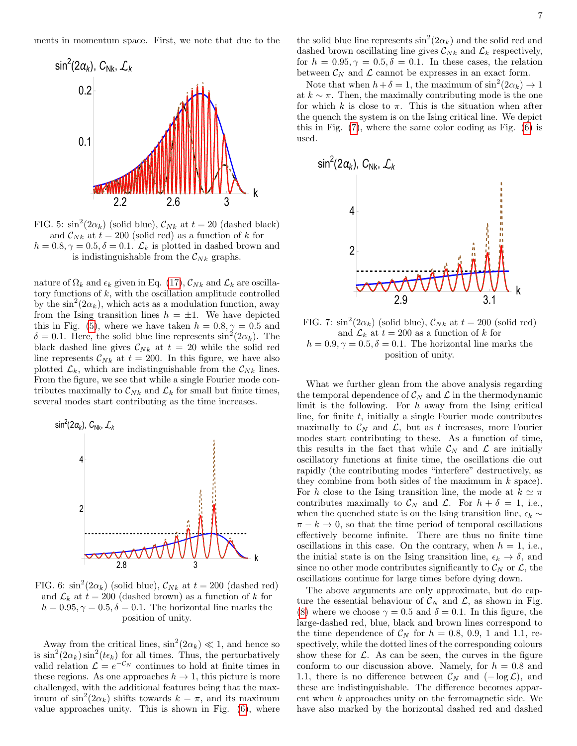<span id="page-6-0"></span>

FIG. 5:  $\sin^2(2\alpha_k)$  (solid blue),  $\mathcal{C}_{Nk}$  at  $t = 20$  (dashed black) and  $\mathcal{C}_{Nk}$  at  $t = 200$  (solid red) as a function of k for  $h = 0.8, \gamma = 0.5, \delta = 0.1$ .  $\mathcal{L}_k$  is plotted in dashed brown and is indistinguishable from the  $\mathcal{C}_{Nk}$  graphs.

nature of  $\Omega_k$  and  $\epsilon_k$  given in Eq. [\(17\)](#page-3-1),  $\mathcal{C}_{Nk}$  and  $\mathcal{L}_k$  are oscillatory functions of  $k$ , with the oscillation amplitude controlled by the  $\sin^2(2\alpha_k)$ , which acts as a modulation function, away from the Ising transition lines  $h = \pm 1$ . We have depicted this in Fig. [\(5\)](#page-6-0), where we have taken  $h = 0.8, \gamma = 0.5$  and  $\delta = 0.1$ . Here, the solid blue line represents  $\sin^2(2\alpha_k)$ . The black dashed line gives  $\mathcal{C}_{Nk}$  at  $t = 20$  while the solid red line represents  $\mathcal{C}_{Nk}$  at  $t = 200$ . In this figure, we have also plotted  $\mathcal{L}_k$ , which are indistinguishable from the  $\mathcal{C}_{Nk}$  lines. From the figure, we see that while a single Fourier mode contributes maximally to  $\mathcal{C}_{Nk}$  and  $\mathcal{L}_k$  for small but finite times, several modes start contributing as the time increases.

<span id="page-6-1"></span>

FIG. 6:  $\sin^2(2\alpha_k)$  (solid blue),  $\mathcal{C}_{Nk}$  at  $t = 200$  (dashed red) and  $\mathcal{L}_k$  at  $t = 200$  (dashed brown) as a function of k for  $h = 0.95, \gamma = 0.5, \delta = 0.1$ . The horizontal line marks the position of unity.

Away from the critical lines,  $\sin^2(2\alpha_k) \ll 1$ , and hence so is  $\sin^2(2\alpha_k)\sin^2(t\epsilon_k)$  for all times. Thus, the perturbatively valid relation  $\mathcal{L} = e^{-\mathcal{C}_N}$  continues to hold at finite times in these regions. As one approaches  $h \to 1$ , this picture is more challenged, with the additional features being that the maximum of  $\sin^2(2\alpha_k)$  shifts towards  $k = \pi$ , and its maximum value approaches unity. This is shown in Fig. [\(6\)](#page-6-1), where

the solid blue line represents  $\sin^2(2\alpha_k)$  and the solid red and dashed brown oscillating line gives  $\mathcal{C}_{Nk}$  and  $\mathcal{L}_k$  respectively, for  $h = 0.95, \gamma = 0.5, \delta = 0.1$ . In these cases, the relation between  $\mathcal{C}_N$  and  $\mathcal{L}$  cannot be expresses in an exact form.

Note that when  $h + \delta = 1$ , the maximum of  $\sin^2(2\alpha_k) \to 1$ at  $k \sim \pi$ . Then, the maximally contributing mode is the one for which k is close to  $\pi$ . This is the situation when after the quench the system is on the Ising critical line. We depict this in Fig. [\(7\)](#page-6-2), where the same color coding as Fig. [\(6\)](#page-6-1) is used.

<span id="page-6-2"></span>

FIG. 7:  $\sin^2(2\alpha_k)$  (solid blue),  $\mathcal{C}_{Nk}$  at  $t = 200$  (solid red) and  $\mathcal{L}_k$  at  $t = 200$  as a function of k for  $h = 0.9, \gamma = 0.5, \delta = 0.1$ . The horizontal line marks the position of unity.

What we further glean from the above analysis regarding the temporal dependence of  $\mathcal{C}_N$  and  $\mathcal{L}$  in the thermodynamic limit is the following. For  $h$  away from the Ising critical line, for finite  $t$ , initially a single Fourier mode contributes maximally to  $\mathcal{C}_N$  and  $\mathcal{L}$ , but as t increases, more Fourier modes start contributing to these. As a function of time, this results in the fact that while  $\mathcal{C}_N$  and  $\mathcal{L}$  are initially oscillatory functions at finite time, the oscillations die out rapidly (the contributing modes "interfere" destructively, as they combine from both sides of the maximum in  $k$  space). For h close to the Ising transition line, the mode at  $k \simeq \pi$ contributes maximally to  $\mathcal{C}_N$  and  $\mathcal{L}$ . For  $h + \delta = 1$ , i.e., when the quenched state is on the Ising transition line,  $\epsilon_k \sim$  $\pi - k \to 0$ , so that the time period of temporal oscillations effectively become infinite. There are thus no finite time oscillations in this case. On the contrary, when  $h = 1$ , i.e., the initial state is on the Ising transition line,  $\epsilon_k \to \delta$ , and since no other mode contributes significantly to  $\mathcal{C}_N$  or  $\mathcal{L}$ , the oscillations continue for large times before dying down.

The above arguments are only approximate, but do capture the essential behaviour of  $\mathcal{C}_N$  and  $\mathcal{L}$ , as shown in Fig. [\(8\)](#page-7-0) where we choose  $\gamma = 0.5$  and  $\delta = 0.1$ . In this figure, the large-dashed red, blue, black and brown lines correspond to the time dependence of  $\mathcal{C}_N$  for  $h = 0.8, 0.9, 1$  and 1.1, respectively, while the dotted lines of the corresponding colours show these for  $\mathcal{L}$ . As can be seen, the curves in the figure conform to our discussion above. Namely, for  $h = 0.8$  and 1.1, there is no difference between  $\mathcal{C}_N$  and  $(-\log \mathcal{L})$ , and these are indistinguishable. The difference becomes apparent when h approaches unity on the ferromagnetic side. We have also marked by the horizontal dashed red and dashed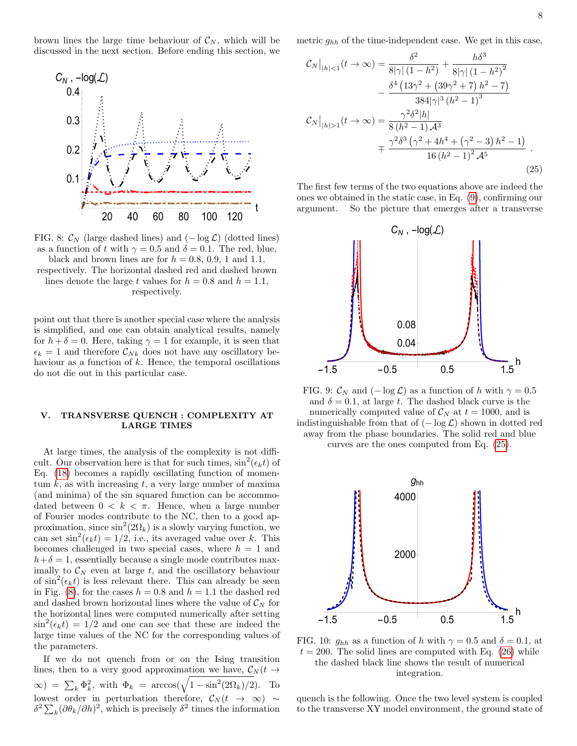brown lines the large time behaviour of  $\mathcal{C}_N$ , which will be discussed in the next section. Before ending this section, we

<span id="page-7-0"></span>

FIG. 8:  $\mathcal{C}_N$  (large dashed lines) and  $(-\log \mathcal{L})$  (dotted lines) as a function of t with  $\gamma = 0.5$  and  $\delta = 0.1$ . The red, blue, black and brown lines are for  $h = 0.8, 0.9, 1$  and 1.1, respectively. The horizontal dashed red and dashed brown lines denote the large t values for  $h = 0.8$  and  $h = 1.1$ , respectively.

point out that there is another special case where the analysis is simplified, and one can obtain analytical results, namely for  $h + \delta = 0$ . Here, taking  $\gamma = 1$  for example, it is seen that  $\epsilon_k = 1$  and therefore  $\mathcal{C}_{Nk}$  does not have any oscillatory behaviour as a function of  $k$ . Hence, the temporal oscillations do not die out in this particular case.

## V. TRANSVERSE QUENCH : COMPLEXITY AT LARGE TIMES

At large times, the analysis of the complexity is not difficult. Our observation here is that for such times,  $\sin^2(\epsilon_k t)$  of Eq. [\(18\)](#page-3-6) becomes a rapidly oscillating function of momentum  $k$ , as with increasing  $t$ , a very large number of maxima (and minima) of the sin squared function can be accommodated between  $0 \leq k \leq \pi$ . Hence, when a large number of Fourier modes contribute to the NC, then to a good approximation, since  $\sin^2(2\Omega_k)$  is a slowly varying function, we can set  $\sin^2(\epsilon_k t) = 1/2$ , i.e., its averaged value over k. This becomes challenged in two special cases, where  $h = 1$  and  $h+\delta=1$ , essentially because a single mode contributes maximally to  $\mathcal{C}_N$  even at large t, and the oscillatory behaviour of  $\sin^2(\epsilon_k t)$  is less relevant there. This can already be seen in Fig. [\(8\)](#page-7-0), for the cases  $h = 0.8$  and  $h = 1.1$  the dashed red and dashed brown horizontal lines where the value of  $\mathcal{C}_N$  for the horizontal lines were computed numerically after setting  $\sin^2(\epsilon_k t) = 1/2$  and one can see that these are indeed the large time values of the NC for the corresponding values of the parameters.

If we do not quench from or on the Ising transition lines, then to a very good approximation we have,  $\mathcal{C}_N(t \to$  $\infty$ ) =  $\sum_k \Phi_k^2$ , with  $\Phi_k$  = arccos( $\sqrt{1 - \sin^2(2\Omega_k)/2}$ ). To lowest order in perturbation therefore,  $\mathcal{C}_N(t~\rightarrow~\infty)~\sim$  $\delta^2 \sum_k (\partial \theta_k / \partial h)^2$ , which is precisely  $\delta^2$  times the information

metric  $g_{hh}$  of the time-independent case. We get in this case,

<span id="page-7-1"></span>
$$
\mathcal{C}_{N}|_{|h|<1}(t\to\infty) = \frac{\delta^{2}}{8|\gamma|(1-h^{2})} + \frac{h\delta^{3}}{8|\gamma|(1-h^{2})^{2}}
$$

$$
-\frac{\delta^{4}(13\gamma^{2}+(39\gamma^{2}+7)h^{2}-7)}{384|\gamma|^{3}(h^{2}-1)^{3}}
$$

$$
\mathcal{C}_{N}|_{|h|>1}(t\to\infty) = \frac{\gamma^{2}\delta^{2}|h|}{8(h^{2}-1)A^{3}}
$$

$$
=\frac{\gamma^{2}\delta^{3}(\gamma^{2}+4h^{4}+(\gamma^{2}-3)h^{2}-1)}{16(h^{2}-1)^{2}A^{5}}.
$$
(25)

The first few terms of the two equations above are indeed the ones we obtained in the static case, in Eq. [\(9\)](#page-2-0), confirming our argument. So the picture that emerges after a transverse

<span id="page-7-2"></span>

FIG. 9:  $\mathcal{C}_N$  and  $(-\log \mathcal{L})$  as a function of h with  $\gamma = 0.5$ and  $\delta = 0.1$ , at large t. The dashed black curve is the numerically computed value of  $\mathcal{C}_N$  at  $t = 1000$ , and is indistinguishable from that of  $(-\log \mathcal{L})$  shown in dotted red away from the phase boundaries. The solid red and blue

curves are the ones computed from Eq. [\(25\)](#page-7-1).



FIG. 10:  $g_{hh}$  as a function of h with  $\gamma = 0.5$  and  $\delta = 0.1$ , at  $t = 200$ . The solid lines are computed with Eq. [\(26\)](#page-8-0) while the dashed black line shows the result of numerical integration.

quench is the following. Once the two level system is coupled to the transverse XY model environment, the ground state of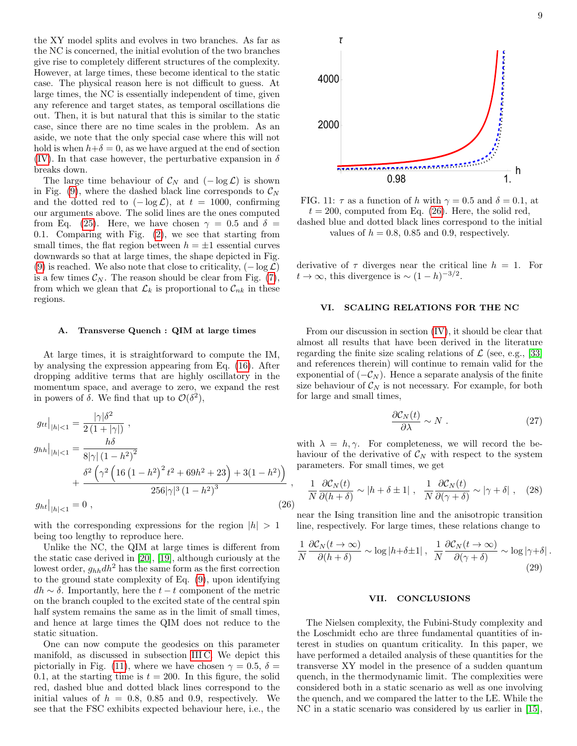the XY model splits and evolves in two branches. As far as the NC is concerned, the initial evolution of the two branches give rise to completely different structures of the complexity. However, at large times, these become identical to the static case. The physical reason here is not difficult to guess. At large times, the NC is essentially independent of time, given any reference and target states, as temporal oscillations die out. Then, it is but natural that this is similar to the static case, since there are no time scales in the problem. As an aside, we note that the only special case where this will not hold is when  $h+\delta=0$ , as we have argued at the end of section [\(IV\)](#page-5-2). In that case however, the perturbative expansion in  $\delta$ breaks down.

The large time behaviour of  $\mathcal{C}_N$  and  $(-\log \mathcal{L})$  is shown in Fig. [\(9\)](#page-7-2), where the dashed black line corresponds to  $\mathcal{C}_N$ and the dotted red to  $(-\log \mathcal{L})$ , at  $t = 1000$ , confirming our arguments above. The solid lines are the ones computed from Eq. [\(25\)](#page-7-1). Here, we have chosen  $\gamma = 0.5$  and  $\delta =$ 0.1. Comparing with Fig. [\(2\)](#page-4-0), we see that starting from small times, the flat region between  $h = \pm 1$  essential curves downwards so that at large times, the shape depicted in Fig. [\(9\)](#page-7-2) is reached. We also note that close to criticality,  $(-\log \mathcal{L})$ is a few times  $\mathcal{C}_N$ . The reason should be clear from Fig. [\(7\)](#page-6-2), from which we glean that  $\mathcal{L}_k$  is proportional to  $\mathcal{C}_{nk}$  in these regions.

### A. Transverse Quench : QIM at large times

At large times, it is straightforward to compute the IM, by analysing the expression appearing from Eq. [\(16\)](#page-3-4). After dropping additive terms that are highly oscillatory in the momentum space, and average to zero, we expand the rest in powers of  $\delta$ . We find that up to  $\mathcal{O}(\delta^2)$ ,

<span id="page-8-0"></span>
$$
g_{tt}|_{|h|<1} = \frac{|\gamma|\delta^2}{2(1+|\gamma|)},
$$
  
\n
$$
g_{hh}|_{|h|<1} = \frac{h\delta}{8|\gamma|(1-h^2)^2} + \frac{\delta^2\left(\gamma^2\left(16(1-h^2)^2t^2 + 69h^2 + 23\right) + 3(1-h^2)\right)}{256|\gamma|^3(1-h^2)^3},
$$
  
\n
$$
g_{ht}|_{|h|<1} = 0,
$$
\n(26)

with the corresponding expressions for the region  $|h| > 1$ being too lengthy to reproduce here.

Unlike the NC, the QIM at large times is different from the static case derived in [\[20\]](#page-9-20), [\[19\]](#page-9-21), although curiously at the lowest order,  $g_{hh}dh^2$  has the same form as the first correction to the ground state complexity of Eq. [\(9\)](#page-2-0), upon identifying  $dh \sim \delta$ . Importantly, here the  $t - t$  component of the metric on the branch coupled to the excited state of the central spin half system remains the same as in the limit of small times, and hence at large times the QIM does not reduce to the static situation.

One can now compute the geodesics on this parameter manifold, as discussed in subsection [III C.](#page-5-3) We depict this pictorially in Fig. [\(11\)](#page-8-1), where we have chosen  $\gamma = 0.5$ ,  $\delta =$ 0.1, at the starting time is  $t = 200$ . In this figure, the solid red, dashed blue and dotted black lines correspond to the initial values of  $h = 0.8, 0.85,$  and 0.9, respectively. We see that the FSC exhibits expected behaviour here, i.e., the

<span id="page-8-1"></span>

FIG. 11:  $\tau$  as a function of h with  $\gamma = 0.5$  and  $\delta = 0.1$ , at  $t = 200$ , computed from Eq. [\(26\)](#page-8-0). Here, the solid red,

dashed blue and dotted black lines correspond to the initial values of  $h = 0.8$ , 0.85 and 0.9, respectively.

derivative of  $\tau$  diverges near the critical line  $h = 1$ . For  $t \to \infty$ , this divergence is  $\sim (1-h)^{-3/2}$ .

### VI. SCALING RELATIONS FOR THE NC

From our discussion in section [\(IV\)](#page-5-2), it should be clear that almost all results that have been derived in the literature regarding the finite size scaling relations of  $\mathcal{L}$  (see, e.g., [\[33\]](#page-10-2) and references therein) will continue to remain valid for the exponential of  $(-\mathcal{C}_N)$ . Hence a separate analysis of the finite size behaviour of  $\mathcal{C}_N$  is not necessary. For example, for both for large and small times,

$$
\frac{\partial \mathcal{C}_N(t)}{\partial \lambda} \sim N \ . \tag{27}
$$

with  $\lambda = h, \gamma$ . For completeness, we will record the behaviour of the derivative of  $\mathcal{C}_N$  with respect to the system parameters. For small times, we get

$$
\frac{1}{N} \frac{\partial \mathcal{C}_N(t)}{\partial (h+\delta)} \sim |h+\delta \pm 1| \ , \ \frac{1}{N} \frac{\partial \mathcal{C}_N(t)}{\partial (\gamma+\delta)} \sim |\gamma+\delta| \ , \quad (28)
$$

near the Ising transition line and the anisotropic transition line, respectively. For large times, these relations change to

$$
\frac{1}{N} \frac{\partial \mathcal{C}_N(t \to \infty)}{\partial (h + \delta)} \sim \log|h + \delta \pm 1| \,, \frac{1}{N} \frac{\partial \mathcal{C}_N(t \to \infty)}{\partial (\gamma + \delta)} \sim \log|\gamma + \delta| \,.
$$
\n(29)

#### VII. CONCLUSIONS

The Nielsen complexity, the Fubini-Study complexity and the Loschmidt echo are three fundamental quantities of interest in studies on quantum criticality. In this paper, we have performed a detailed analysis of these quantities for the transverse XY model in the presence of a sudden quantum quench, in the thermodynamic limit. The complexities were considered both in a static scenario as well as one involving the quench, and we compared the latter to the LE. While the NC in a static scenario was considered by us earlier in [\[15\]](#page-9-10),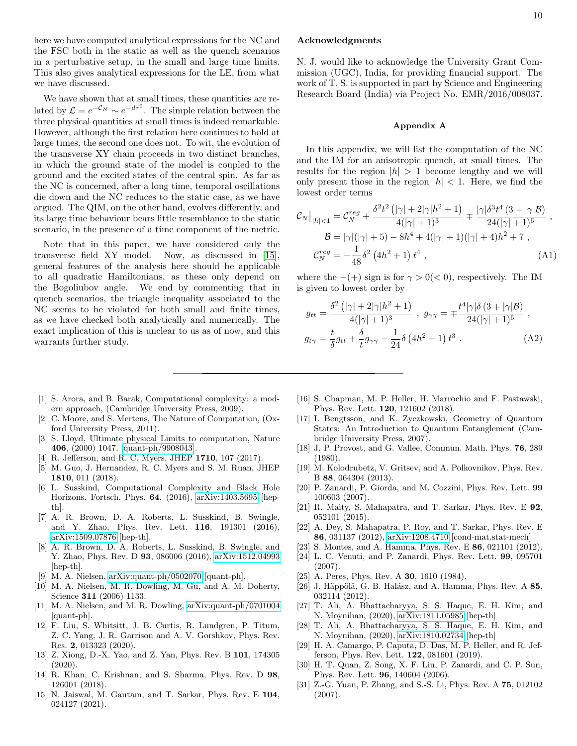here we have computed analytical expressions for the NC and the FSC both in the static as well as the quench scenarios in a perturbative setup, in the small and large time limits. This also gives analytical expressions for the LE, from what we have discussed.

We have shown that at small times, these quantities are related by  $\mathcal{L} = e^{-\mathcal{C}_N} \sim e^{-d\tau^2}$ . The simple relation between the three physical quantities at small times is indeed remarkable. However, although the first relation here continues to hold at large times, the second one does not. To wit, the evolution of the transverse XY chain proceeds in two distinct branches, in which the ground state of the model is coupled to the ground and the excited states of the central spin. As far as the NC is concerned, after a long time, temporal oscillations die down and the NC reduces to the static case, as we have argued. The QIM, on the other hand, evolves differently, and its large time behaviour bears little resemblance to the static scenario, in the presence of a time component of the metric.

Note that in this paper, we have considered only the transverse field XY model. Now, as discussed in [\[15\]](#page-9-10), general features of the analysis here should be applicable to all quadratic Hamiltonians, as these only depend on the Bogoliubov angle. We end by commenting that in quench scenarios, the triangle inequality associated to the NC seems to be violated for both small and finite times, as we have checked both analytically and numerically. The exact implication of this is unclear to us as of now, and this warrants further study.

- <span id="page-9-0"></span>[1] S. Arora, and B. Barak, Computational complexity: a modern approach, (Cambridge University Press, 2009).
- <span id="page-9-1"></span>[2] C. Moore, and S. Mertens, The Nature of Computation, (Oxford University Press, 2011).
- <span id="page-9-2"></span>[3] S. Lloyd, Ultimate physical Limits to computation, Nature 406, (2000) 1047, [\[quant-ph/9908043\]](http://arxiv.org/abs/quant-ph/9908043).
- <span id="page-9-3"></span>[4] R. Jefferson, and R. C. Myers, JHEP 1710, 107 (2017).
- <span id="page-9-4"></span>[5] M. Guo, J. Hernandez, R. C. Myers and S. M. Ruan, JHEP 1810, 011 (2018).
- <span id="page-9-5"></span>[6] L. Susskind, Computational Complexity and Black Hole Horizons, Fortsch. Phys. 64, (2016), [arXiv:1403.5695](http://arxiv.org/abs/1403.5695) [hepth].
- [7] A. R. Brown, D. A. Roberts, L. Susskind, B. Swingle, and Y. Zhao, Phys. Rev. Lett. 116, 191301 (2016), [arXiv:1509.07876](http://arxiv.org/abs/1509.07876) [hep-th].
- <span id="page-9-6"></span>[8] A. R. Brown, D. A. Roberts, L. Susskind, B. Swingle, and Y. Zhao, Phys. Rev. D **93**, 086006 (2016), [arXiv:1512.04993](http://arxiv.org/abs/1512.04993) [hep-th].
- <span id="page-9-7"></span>[9] M. A. Nielsen, [arXiv:quant-ph/0502070](http://arxiv.org/abs/quant-ph/0502070) [quant-ph].
- [10] M. A. Nielsen, M. R. Dowling, M. Gu, and A. M. Doherty, Science **311** (2006) 1133.
- <span id="page-9-8"></span>[11] M. A. Nielsen, and M. R. Dowling, [arXiv:quant-ph/0701004](http://arxiv.org/abs/quant-ph/0701004) [quant-ph].
- <span id="page-9-9"></span>[12] F. Liu, S. Whitsitt, J. B. Curtis, R. Lundgren, P. Titum, Z. C. Yang, J. R. Garrison and A. V. Gorshkov, Phys. Rev. Res. 2, 013323 (2020).
- [13] Z. Xiong, D.-X. Yao, and Z. Yan, Phys. Rev. B 101, 174305 (2020).
- [14] R. Khan, C. Krishnan, and S. Sharma, Phys. Rev. D 98, 126001 (2018).
- <span id="page-9-10"></span>[15] N. Jaiswal, M. Gautam, and T. Sarkar, Phys. Rev. E 104, 024127 (2021).

### 10

## Acknowledgments

N. J. would like to acknowledge the University Grant Commission (UGC), India, for providing financial support. The work of T. S. is supported in part by Science and Engineering Research Board (India) via Project No. EMR/2016/008037.

### <span id="page-9-22"></span>Appendix A

In this appendix, we will list the computation of the NC and the IM for an anisotropic quench, at small times. The results for the region  $|h| > 1$  become lengthy and we will only present those in the region  $|h| < 1$ . Here, we find the lowest order terms

<span id="page-9-23"></span>
$$
\mathcal{C}_{N}\big|_{|h|<1} = \mathcal{C}_{N}^{reg} + \frac{\delta^{2}t^{2}\left(|\gamma|+2|\gamma|h^{2}+1\right)}{4(|\gamma|+1)^{3}} \mp \frac{|\gamma|\delta^{3}t^{4}\left(3+|\gamma|\mathcal{B}\right)}{24(|\gamma|+1)^{5}},
$$
\n
$$
\mathcal{B} = |\gamma|(|\gamma|+5) - 8h^{4} + 4(|\gamma|+1)(|\gamma|+4)h^{2} + 7,
$$
\n
$$
\mathcal{C}_{N}^{reg} = -\frac{1}{48}\delta^{2}\left(4h^{2}+1\right)t^{4},
$$
\n(A1)

where the  $-(+)$  sign is for  $\gamma > 0 \, < 0$ , respectively. The IM is given to lowest order by

$$
g_{tt} = \frac{\delta^2 \left( |\gamma| + 2|\gamma|h^2 + 1 \right)}{4(|\gamma| + 1)^3} , \ g_{\gamma\gamma} = \mp \frac{t^4 |\gamma|\delta (3 + |\gamma|\mathcal{B})}{24(|\gamma| + 1)^5} ,
$$

$$
g_{t\gamma} = \frac{t}{\delta} g_{tt} + \frac{\delta}{t} g_{\gamma\gamma} - \frac{1}{24} \delta (4h^2 + 1) t^3 . \tag{A2}
$$

- <span id="page-9-11"></span>[16] S. Chapman, M. P. Heller, H. Marrochio and F. Pastawski, Phys. Rev. Lett. 120, 121602 (2018).
- <span id="page-9-12"></span>[17] I. Bengtsson, and K. Zyczkowski, Geometry of Quantum States: An Introduction to Quantum Entanglement (Cambridge University Press, 2007).
- [18] J. P. Provost, and G. Vallee, Commun. Math. Phys. 76, 289 (1980).
- <span id="page-9-21"></span>[19] M. Kolodrubetz, V. Gritsev, and A. Polkovnikov, Phys. Rev. B 88, 064304 (2013).
- <span id="page-9-20"></span>[20] P. Zanardi, P. Giorda, and M. Cozzini, Phys. Rev. Lett. 99 100603 (2007).
- [21] R. Maity, S. Mahapatra, and T. Sarkar, Phys. Rev. E 92, 052101 (2015).
- [22] A. Dey, S. Mahapatra, P. Roy, and T. Sarkar, Phys. Rev. E 86, 031137 (2012), [arXiv:1208.4710](http://arxiv.org/abs/1208.4710) [cond-mat.stat-mech]
- [23] S. Montes, and A. Hamma, Phys. Rev. E **86**, 021101 (2012).
- <span id="page-9-13"></span>[24] L. C. Venuti, and P. Zanardi, Phys. Rev. Lett. 99, 095701 (2007).
- <span id="page-9-14"></span>[25] A. Peres, Phys. Rev. A **30**, 1610 (1984).
- <span id="page-9-15"></span>[26] J. Häppölä, G. B. Halász, and A. Hamma, Phys. Rev. A  $85$ , 032114 (2012).
- <span id="page-9-16"></span>[27] T. Ali, A. Bhattacharyya, S. S. Haque, E. H. Kim, and N. Moynihan, (2020), [arXiv:1811.05985](http://arxiv.org/abs/1811.05985) [hep-th]
- [28] T. Ali, A. Bhattacharyya, S. S. Haque, E. H. Kim, and N. Moynihan, (2020), [arXiv:1810.02734](http://arxiv.org/abs/1810.02734) [hep-th]
- <span id="page-9-17"></span>[29] H. A. Camargo, P. Caputa, D. Das, M. P. Heller, and R. Jefferson, Phys. Rev. Lett. 122, 081601 (2019).
- <span id="page-9-18"></span>[30] H. T. Quan, Z. Song, X. F. Liu, P. Zanardi, and C. P. Sun, Phys. Rev. Lett. 96, 140604 (2006).
- <span id="page-9-19"></span>[31] Z.-G. Yuan, P. Zhang, and S.-S. Li, Phys. Rev. A 75, 012102 (2007).